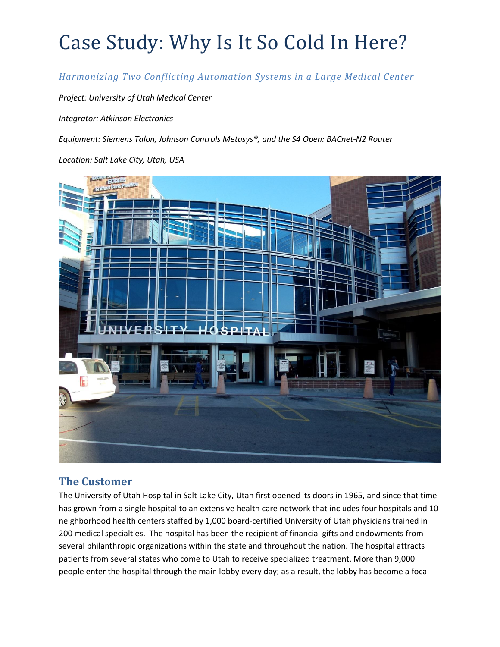#### *Harmonizing Two Conflicting Automation Systems in a Large Medical Center*

*Project: University of Utah Medical Center*

*Integrator: Atkinson Electronics*

*Equipment: Siemens Talon, Johnson Controls Metasys®, and the S4 Open: BACnet-N2 Router*

*Location: Salt Lake City, Utah, USA*



## **The Customer**

The University of Utah Hospital in Salt Lake City, Utah first opened its doors in 1965, and since that time has grown from a single hospital to an extensive health care network that includes four hospitals and 10 neighborhood health centers staffed by 1,000 board-certified University of Utah physicians trained in 200 medical specialties. The hospital has been the recipient of financial gifts and endowments from several philanthropic organizations within the state and throughout the nation. The hospital attracts patients from several states who come to Utah to receive specialized treatment. More than 9,000 people enter the hospital through the main lobby every day; as a result, the lobby has become a focal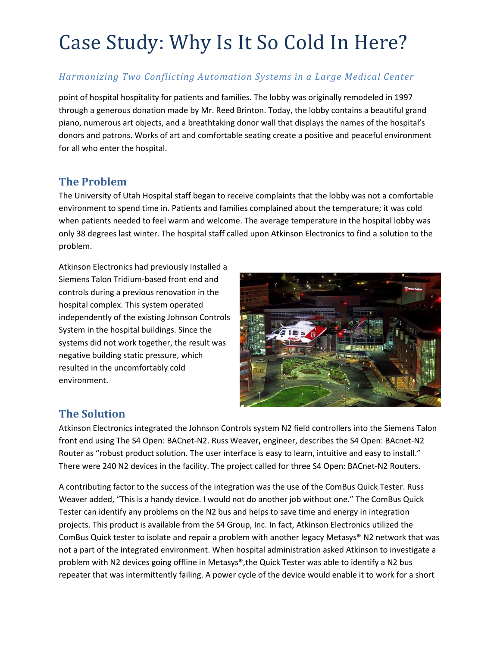### *Harmonizing Two Conflicting Automation Systems in a Large Medical Center*

point of hospital hospitality for patients and families. The lobby was originally remodeled in 1997 through a generous donation made by Mr. Reed Brinton. Today, the lobby contains a beautiful grand piano, numerous art objects, and a breathtaking donor wall that displays the names of the hospital's donors and patrons. Works of art and comfortable seating create a positive and peaceful environment for all who enter the hospital.

#### **The Problem**

The University of Utah Hospital staff began to receive complaints that the lobby was not a comfortable environment to spend time in. Patients and families complained about the temperature; it was cold when patients needed to feel warm and welcome. The average temperature in the hospital lobby was only 38 degrees last winter. The hospital staff called upon Atkinson Electronics to find a solution to the problem.

Atkinson Electronics had previously installed a Siemens Talon Tridium-based front end and controls during a previous renovation in the hospital complex. This system operated independently of the existing Johnson Controls System in the hospital buildings. Since the systems did not work together, the result was negative building static pressure, which resulted in the uncomfortably cold environment.



## **The Solution**

Atkinson Electronics integrated the Johnson Controls system N2 field controllers into the Siemens Talon front end using The S4 Open: BACnet-N2. Russ Weaver**,** engineer, describes the S4 Open: BAcnet-N2 Router as "robust product solution. The user interface is easy to learn, intuitive and easy to install." There were 240 N2 devices in the facility. The project called for three S4 Open: BACnet-N2 Routers.

A contributing factor to the success of the integration was the use of the ComBus Quick Tester. Russ Weaver added, "This is a handy device. I would not do another job without one." The ComBus Quick Tester can identify any problems on the N2 bus and helps to save time and energy in integration projects. This product is available from the S4 Group, Inc. In fact, Atkinson Electronics utilized the ComBus Quick tester to isolate and repair a problem with another legacy Metasys® N2 network that was not a part of the integrated environment. When hospital administration asked Atkinson to investigate a problem with N2 devices going offline in Metasys®,the Quick Tester was able to identify a N2 bus repeater that was intermittently failing. A power cycle of the device would enable it to work for a short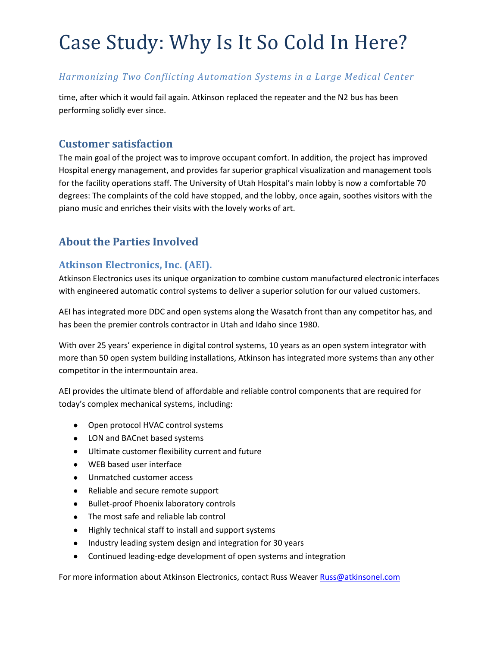#### *Harmonizing Two Conflicting Automation Systems in a Large Medical Center*

time, after which it would fail again. Atkinson replaced the repeater and the N2 bus has been performing solidly ever since.

### **Customer satisfaction**

The main goal of the project was to improve occupant comfort. In addition, the project has improved Hospital energy management, and provides far superior graphical visualization and management tools for the facility operations staff. The University of Utah Hospital's main lobby is now a comfortable 70 degrees: The complaints of the cold have stopped, and the lobby, once again, soothes visitors with the piano music and enriches their visits with the lovely works of art.

## **About the Parties Involved**

#### **Atkinson Electronics, Inc. (AEI).**

Atkinson Electronics uses its unique organization to combine custom manufactured electronic interfaces with engineered automatic control systems to deliver a superior solution for our valued customers.

AEI has integrated more DDC and open systems along the Wasatch front than any competitor has, and has been the premier controls contractor in Utah and Idaho since 1980.

With over 25 years' experience in digital control systems, 10 years as an open system integrator with more than 50 open system building installations, Atkinson has integrated more systems than any other competitor in the intermountain area.

AEI provides the ultimate blend of affordable and reliable control components that are required for today's complex mechanical systems, including:

- Open protocol HVAC control systems
- LON and BACnet based systems
- Ultimate customer flexibility current and future
- WEB based user interface
- Unmatched customer access
- Reliable and secure remote support
- Bullet-proof Phoenix laboratory controls
- The most safe and reliable lab control
- Highly technical staff to install and support systems
- Industry leading system design and integration for 30 years
- Continued leading-edge development of open systems and integration

For more information about Atkinson Electronics, contact Russ Weave[r Russ@atkinsonel.com](mailto:Russ@atkinsonel.com)